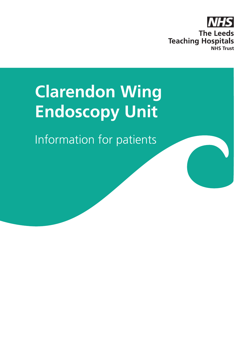

# **Clarendon Wing Endoscopy Unit**

Information for patients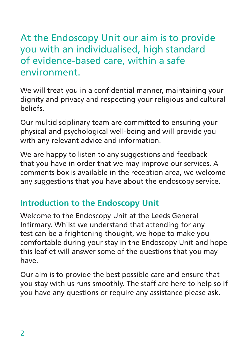# At the Endoscopy Unit our aim is to provide you with an individualised, high standard of evidence-based care, within a safe environment.

We will treat you in a confidential manner, maintaining your dignity and privacy and respecting your religious and cultural beliefs.

Our multidisciplinary team are committed to ensuring your physical and psychological well-being and will provide you with any relevant advice and information.

We are happy to listen to any suggestions and feedback that you have in order that we may improve our services. A comments box is available in the reception area, we welcome any suggestions that you have about the endoscopy service.

## **Introduction to the Endoscopy Unit**

Welcome to the Endoscopy Unit at the Leeds General Infirmary. Whilst we understand that attending for any test can be a frightening thought, we hope to make you comfortable during your stay in the Endoscopy Unit and hope this leaflet will answer some of the questions that you may have.

Our aim is to provide the best possible care and ensure that you stay with us runs smoothly. The staff are here to help so if you have any questions or require any assistance please ask.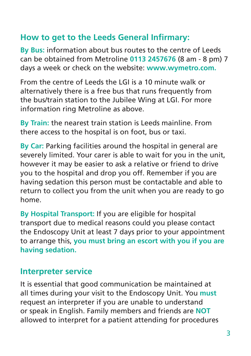### **How to get to the Leeds General Infirmary:**

**By Bus:** information about bus routes to the centre of Leeds can be obtained from Metroline **0113 2457676** (8 am - 8 pm) 7 days a week or check on the website: **www.wymetro.com.**

From the centre of Leeds the LGI is a 10 minute walk or alternatively there is a free bus that runs frequently from the bus/train station to the Jubilee Wing at LGI. For more information ring Metroline as above.

**By Train:** the nearest train station is Leeds mainline. From there access to the hospital is on foot, bus or taxi.

**By Car:** Parking facilities around the hospital in general are severely limited. Your carer is able to wait for you in the unit, however it may be easier to ask a relative or friend to drive you to the hospital and drop you off. Remember if you are having sedation this person must be contactable and able to return to collect you from the unit when you are ready to go home.

**By Hospital Transport:** If you are eligible for hospital transport due to medical reasons could you please contact the Endoscopy Unit at least 7 days prior to your appointment to arrange this, **you must bring an escort with you if you are having sedation.**

#### **Interpreter service**

It is essential that good communication be maintained at all times during your visit to the Endoscopy Unit. You **must** request an interpreter if you are unable to understand or speak in English. Family members and friends are **NOT** allowed to interpret for a patient attending for procedures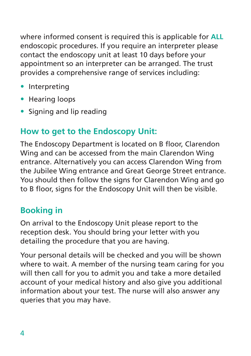where informed consent is required this is applicable for **ALL** endoscopic procedures. If you require an interpreter please contact the endoscopy unit at least 10 days before your appointment so an interpreter can be arranged. The trust provides a comprehensive range of services including:

- Interpreting
- Hearing loops
- Signing and lip reading

# **How to get to the Endoscopy Unit:**

The Endoscopy Department is located on B floor, Clarendon Wing and can be accessed from the main Clarendon Wing entrance. Alternatively you can access Clarendon Wing from the Jubilee Wing entrance and Great George Street entrance. You should then follow the signs for Clarendon Wing and go to B floor, signs for the Endoscopy Unit will then be visible.

# **Booking in**

On arrival to the Endoscopy Unit please report to the reception desk. You should bring your letter with you detailing the procedure that you are having.

Your personal details will be checked and you will be shown where to wait. A member of the nursing team caring for you will then call for you to admit you and take a more detailed account of your medical history and also give you additional information about your test. The nurse will also answer any queries that you may have.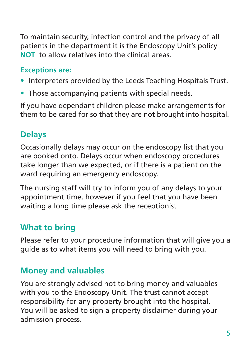To maintain security, infection control and the privacy of all patients in the department it is the Endoscopy Unit's policy **NOT** to allow relatives into the clinical areas.

#### **Exceptions are:**

- Interpreters provided by the Leeds Teaching Hospitals Trust.
- Those accompanying patients with special needs.

If you have dependant children please make arrangements for them to be cared for so that they are not brought into hospital.

### **Delays**

Occasionally delays may occur on the endoscopy list that you are booked onto. Delays occur when endoscopy procedures take longer than we expected, or if there is a patient on the ward requiring an emergency endoscopy.

The nursing staff will try to inform you of any delays to your appointment time, however if you feel that you have been waiting a long time please ask the receptionist

#### **What to bring**

Please refer to your procedure information that will give you a guide as to what items you will need to bring with you.

#### **Money and valuables**

You are strongly advised not to bring money and valuables with you to the Endoscopy Unit. The trust cannot accept responsibility for any property brought into the hospital. You will be asked to sign a property disclaimer during your admission process.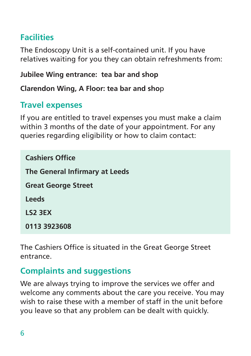# **Facilities**

The Endoscopy Unit is a self-contained unit. If you have relatives waiting for you they can obtain refreshments from:

#### **Jubilee Wing entrance: tea bar and shop**

**Clarendon Wing, A Floor: tea bar and sho**p

## **Travel expenses**

If you are entitled to travel expenses you must make a claim within 3 months of the date of your appointment. For any queries regarding eligibility or how to claim contact:

**Cashiers Office The General Infirmary at Leeds Great George Street Leeds LS2 3EX 0113 3923608**

The Cashiers Office is situated in the Great George Street entrance.

## **Complaints and suggestions**

We are always trying to improve the services we offer and welcome any comments about the care you receive. You may wish to raise these with a member of staff in the unit before you leave so that any problem can be dealt with quickly.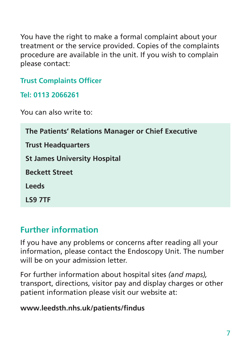You have the right to make a formal complaint about your treatment or the service provided. Copies of the complaints procedure are available in the unit. If you wish to complain please contact:

#### **Trust Complaints Officer**

**Tel: 0113 2066261**

You can also write to:

| The Patients' Relations Manager or Chief Executive |
|----------------------------------------------------|
| <b>Trust Headquarters</b>                          |
| <b>St James University Hospital</b>                |
| <b>Beckett Street</b>                              |
| <b>Leeds</b>                                       |
| LS9 7TF                                            |

## **Further information**

If you have any problems or concerns after reading all your information, please contact the Endoscopy Unit. The number will be on your admission letter.

For further information about hospital sites *(and maps),*  transport, directions, visitor pay and display charges or other patient information please visit our website at:

#### **www.leedsth.nhs.uk/patients/findus**